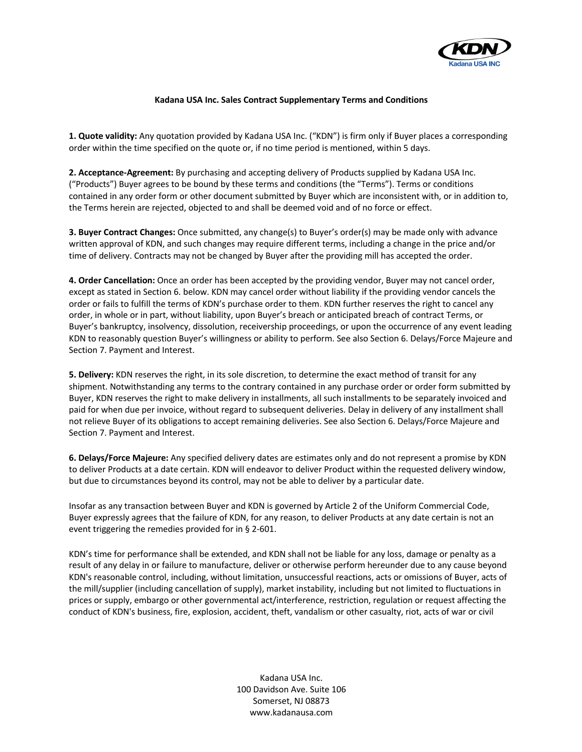

## **Kadana USA Inc. Sales Contract Supplementary Terms and Conditions**

**1. Quote validity:** Any quotation provided by Kadana USA Inc. ("KDN") is firm only if Buyer places a corresponding order within the time specified on the quote or, if no time period is mentioned, within 5 days.

**2. Acceptance-Agreement:** By purchasing and accepting delivery of Products supplied by Kadana USA Inc. ("Products") Buyer agrees to be bound by these terms and conditions (the "Terms"). Terms or conditions contained in any order form or other document submitted by Buyer which are inconsistent with, or in addition to, the Terms herein are rejected, objected to and shall be deemed void and of no force or effect.

**3. Buyer Contract Changes:** Once submitted, any change(s) to Buyer's order(s) may be made only with advance written approval of KDN, and such changes may require different terms, including a change in the price and/or time of delivery. Contracts may not be changed by Buyer after the providing mill has accepted the order.

**4. Order Cancellation:** Once an order has been accepted by the providing vendor, Buyer may not cancel order, except as stated in Section 6. below. KDN may cancel order without liability if the providing vendor cancels the order or fails to fulfill the terms of KDN's purchase order to them. KDN further reserves the right to cancel any order, in whole or in part, without liability, upon Buyer's breach or anticipated breach of contract Terms, or Buyer's bankruptcy, insolvency, dissolution, receivership proceedings, or upon the occurrence of any event leading KDN to reasonably question Buyer's willingness or ability to perform. See also Section 6. Delays/Force Majeure and Section 7. Payment and Interest.

**5. Delivery:** KDN reserves the right, in its sole discretion, to determine the exact method of transit for any shipment. Notwithstanding any terms to the contrary contained in any purchase order or order form submitted by Buyer, KDN reserves the right to make delivery in installments, all such installments to be separately invoiced and paid for when due per invoice, without regard to subsequent deliveries. Delay in delivery of any installment shall not relieve Buyer of its obligations to accept remaining deliveries. See also Section 6. Delays/Force Majeure and Section 7. Payment and Interest.

**6. Delays/Force Majeure:** Any specified delivery dates are estimates only and do not represent a promise by KDN to deliver Products at a date certain. KDN will endeavor to deliver Product within the requested delivery window, but due to circumstances beyond its control, may not be able to deliver by a particular date.

Insofar as any transaction between Buyer and KDN is governed by Article 2 of the Uniform Commercial Code, Buyer expressly agrees that the failure of KDN, for any reason, to deliver Products at any date certain is not an event triggering the remedies provided for in § 2-601.

KDN's time for performance shall be extended, and KDN shall not be liable for any loss, damage or penalty as a result of any delay in or failure to manufacture, deliver or otherwise perform hereunder due to any cause beyond KDN's reasonable control, including, without limitation, unsuccessful reactions, acts or omissions of Buyer, acts of the mill/supplier (including cancellation of supply), market instability, including but not limited to fluctuations in prices or supply, embargo or other governmental act/interference, restriction, regulation or request affecting the conduct of KDN's business, fire, explosion, accident, theft, vandalism or other casualty, riot, acts of war or civil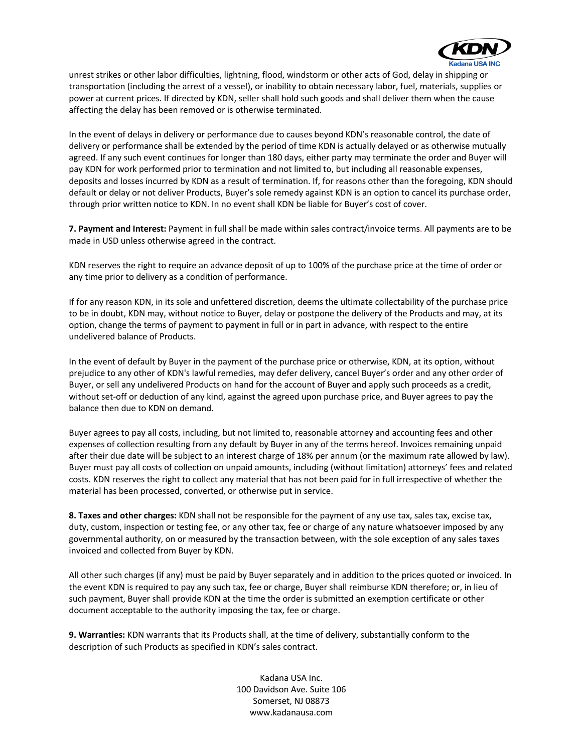

unrest strikes or other labor difficulties, lightning, flood, windstorm or other acts of God, delay in shipping or transportation (including the arrest of a vessel), or inability to obtain necessary labor, fuel, materials, supplies or power at current prices. If directed by KDN, seller shall hold such goods and shall deliver them when the cause affecting the delay has been removed or is otherwise terminated.

In the event of delays in delivery or performance due to causes beyond KDN's reasonable control, the date of delivery or performance shall be extended by the period of time KDN is actually delayed or as otherwise mutually agreed. If any such event continues for longer than 180 days, either party may terminate the order and Buyer will pay KDN for work performed prior to termination and not limited to, but including all reasonable expenses, deposits and losses incurred by KDN as a result of termination. If, for reasons other than the foregoing, KDN should default or delay or not deliver Products, Buyer's sole remedy against KDN is an option to cancel its purchase order, through prior written notice to KDN. In no event shall KDN be liable for Buyer's cost of cover.

**7. Payment and Interest:** Payment in full shall be made within sales contract/invoice terms. All payments are to be made in USD unless otherwise agreed in the contract.

KDN reserves the right to require an advance deposit of up to 100% of the purchase price at the time of order or any time prior to delivery as a condition of performance.

If for any reason KDN, in its sole and unfettered discretion, deems the ultimate collectability of the purchase price to be in doubt, KDN may, without notice to Buyer, delay or postpone the delivery of the Products and may, at its option, change the terms of payment to payment in full or in part in advance, with respect to the entire undelivered balance of Products.

In the event of default by Buyer in the payment of the purchase price or otherwise, KDN, at its option, without prejudice to any other of KDN's lawful remedies, may defer delivery, cancel Buyer's order and any other order of Buyer, or sell any undelivered Products on hand for the account of Buyer and apply such proceeds as a credit, without set-off or deduction of any kind, against the agreed upon purchase price, and Buyer agrees to pay the balance then due to KDN on demand.

Buyer agrees to pay all costs, including, but not limited to, reasonable attorney and accounting fees and other expenses of collection resulting from any default by Buyer in any of the terms hereof. Invoices remaining unpaid after their due date will be subject to an interest charge of 18% per annum (or the maximum rate allowed by law). Buyer must pay all costs of collection on unpaid amounts, including (without limitation) attorneys' fees and related costs. KDN reserves the right to collect any material that has not been paid for in full irrespective of whether the material has been processed, converted, or otherwise put in service.

**8. Taxes and other charges:** KDN shall not be responsible for the payment of any use tax, sales tax, excise tax, duty, custom, inspection or testing fee, or any other tax, fee or charge of any nature whatsoever imposed by any governmental authority, on or measured by the transaction between, with the sole exception of any sales taxes invoiced and collected from Buyer by KDN.

All other such charges (if any) must be paid by Buyer separately and in addition to the prices quoted or invoiced. In the event KDN is required to pay any such tax, fee or charge, Buyer shall reimburse KDN therefore; or, in lieu of such payment, Buyer shall provide KDN at the time the order is submitted an exemption certificate or other document acceptable to the authority imposing the tax, fee or charge.

**9. Warranties:** KDN warrants that its Products shall, at the time of delivery, substantially conform to the description of such Products as specified in KDN's sales contract.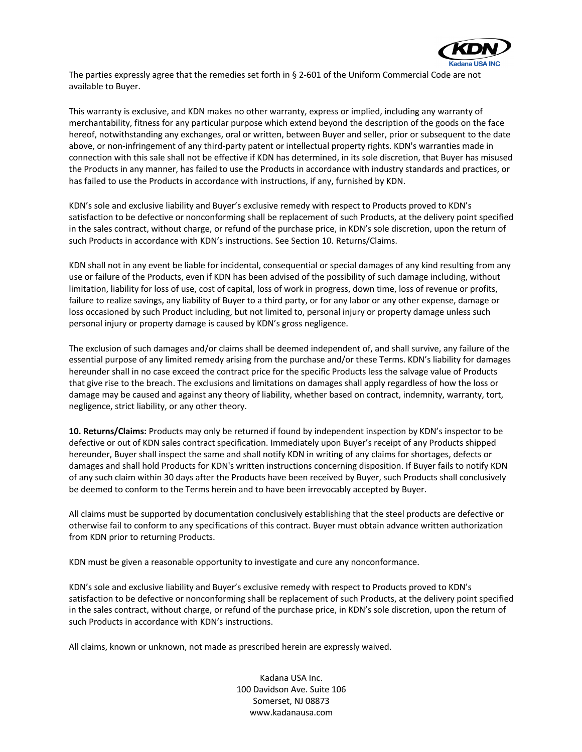

The parties expressly agree that the remedies set forth in § 2-601 of the Uniform Commercial Code are not available to Buyer.

This warranty is exclusive, and KDN makes no other warranty, express or implied, including any warranty of merchantability, fitness for any particular purpose which extend beyond the description of the goods on the face hereof, notwithstanding any exchanges, oral or written, between Buyer and seller, prior or subsequent to the date above, or non-infringement of any third-party patent or intellectual property rights. KDN's warranties made in connection with this sale shall not be effective if KDN has determined, in its sole discretion, that Buyer has misused the Products in any manner, has failed to use the Products in accordance with industry standards and practices, or has failed to use the Products in accordance with instructions, if any, furnished by KDN.

KDN's sole and exclusive liability and Buyer's exclusive remedy with respect to Products proved to KDN's satisfaction to be defective or nonconforming shall be replacement of such Products, at the delivery point specified in the sales contract, without charge, or refund of the purchase price, in KDN's sole discretion, upon the return of such Products in accordance with KDN's instructions. See Section 10. Returns/Claims.

KDN shall not in any event be liable for incidental, consequential or special damages of any kind resulting from any use or failure of the Products, even if KDN has been advised of the possibility of such damage including, without limitation, liability for loss of use, cost of capital, loss of work in progress, down time, loss of revenue or profits, failure to realize savings, any liability of Buyer to a third party, or for any labor or any other expense, damage or loss occasioned by such Product including, but not limited to, personal injury or property damage unless such personal injury or property damage is caused by KDN's gross negligence.

The exclusion of such damages and/or claims shall be deemed independent of, and shall survive, any failure of the essential purpose of any limited remedy arising from the purchase and/or these Terms. KDN's liability for damages hereunder shall in no case exceed the contract price for the specific Products less the salvage value of Products that give rise to the breach. The exclusions and limitations on damages shall apply regardless of how the loss or damage may be caused and against any theory of liability, whether based on contract, indemnity, warranty, tort, negligence, strict liability, or any other theory.

**10. Returns/Claims:** Products may only be returned if found by independent inspection by KDN's inspector to be defective or out of KDN sales contract specification. Immediately upon Buyer's receipt of any Products shipped hereunder, Buyer shall inspect the same and shall notify KDN in writing of any claims for shortages, defects or damages and shall hold Products for KDN's written instructions concerning disposition. If Buyer fails to notify KDN of any such claim within 30 days after the Products have been received by Buyer, such Products shall conclusively be deemed to conform to the Terms herein and to have been irrevocably accepted by Buyer.

All claims must be supported by documentation conclusively establishing that the steel products are defective or otherwise fail to conform to any specifications of this contract. Buyer must obtain advance written authorization from KDN prior to returning Products.

KDN must be given a reasonable opportunity to investigate and cure any nonconformance.

KDN's sole and exclusive liability and Buyer's exclusive remedy with respect to Products proved to KDN's satisfaction to be defective or nonconforming shall be replacement of such Products, at the delivery point specified in the sales contract, without charge, or refund of the purchase price, in KDN's sole discretion, upon the return of such Products in accordance with KDN's instructions.

All claims, known or unknown, not made as prescribed herein are expressly waived.